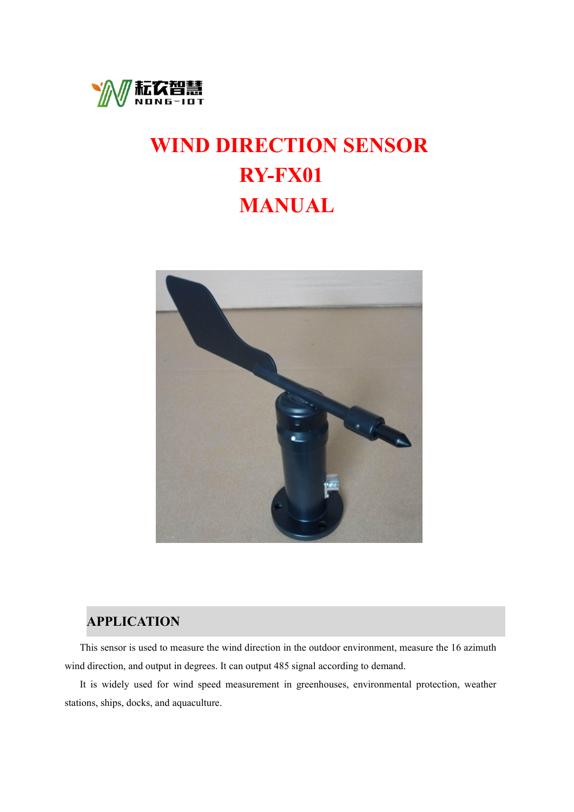

# **WIND DIRECTION SENSOR RY-FX01 MANUAL**



## **APPLICATION**

This sensor is used to measure the wind direction in the outdoor environment, measure the 16 azimuth wind direction, and output in degrees. It can output 485 signal according to demand.<br>It is widely used for wind speed measurement in greenhouses, environmental protection, weather

stations, ships, docks, and aquaculture.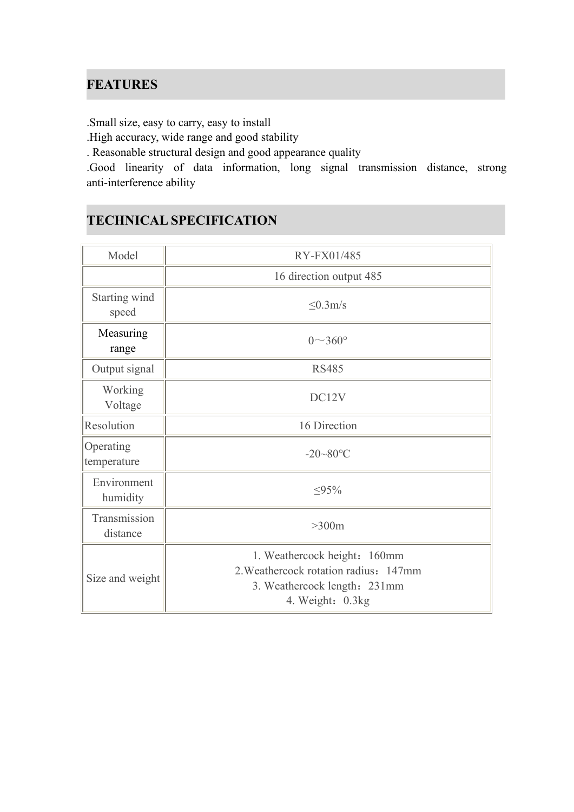## **FEATURES**

.Small size, easy to carry, easy to install

.High accuracy, wide range and good stability

. Reasonable structural design and good appearance quality

.Good linearity of data information, long signal transmission distance, strong anti-interference ability

## **TECHNICAL SPECIFICATION**

| Model                                    | RY-FX01/485                                                                                                               |  |  |
|------------------------------------------|---------------------------------------------------------------------------------------------------------------------------|--|--|
|                                          | 16 direction output 485                                                                                                   |  |  |
| Starting wind<br>$\leq 0.3$ m/s<br>speed |                                                                                                                           |  |  |
| Measuring<br>range                       | $0^\sim 360^\circ$                                                                                                        |  |  |
| Output signal                            | <b>RS485</b>                                                                                                              |  |  |
| Working<br>Voltage                       | DC12V                                                                                                                     |  |  |
| Resolution                               | 16 Direction                                                                                                              |  |  |
| Operating<br>temperature                 | $-20 - 80$ °C                                                                                                             |  |  |
| Environment<br>humidity                  | $\leq 95\%$                                                                                                               |  |  |
| Transmission<br>distance                 | $>300m$                                                                                                                   |  |  |
| Size and weight                          | 1. Weathercock height: 160mm<br>2. Weathercock rotation radius: 147mm<br>3. Weathercock length: 231mm<br>4. Weight: 0.3kg |  |  |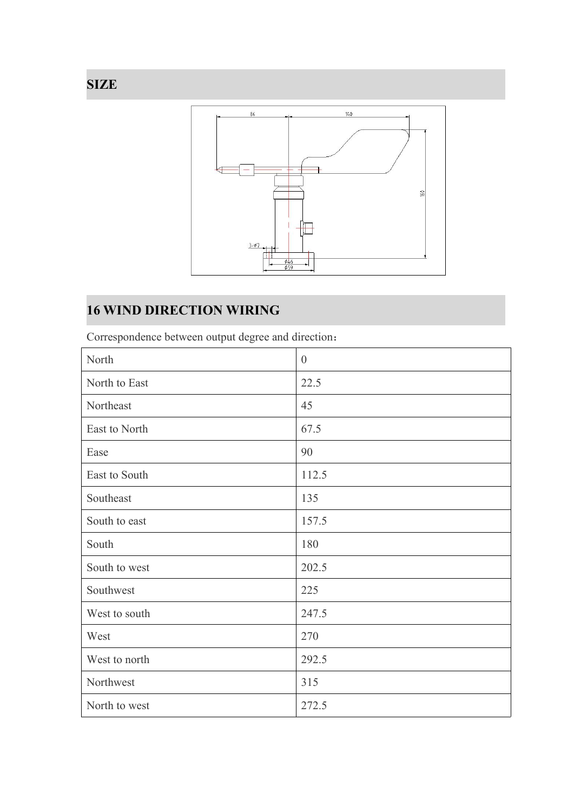

# **16 WIND DIRECTION WIRING**

Correspondence between output degree and direction:

| North         | $\theta$ |
|---------------|----------|
| North to East | 22.5     |
| Northeast     | 45       |
| East to North | 67.5     |
| Ease          | 90       |
| East to South | 112.5    |
| Southeast     | 135      |
| South to east | 157.5    |
| South         | 180      |
| South to west | 202.5    |
| Southwest     | 225      |
| West to south | 247.5    |
| West          | 270      |
| West to north | 292.5    |
| Northwest     | 315      |
| North to west | 272.5    |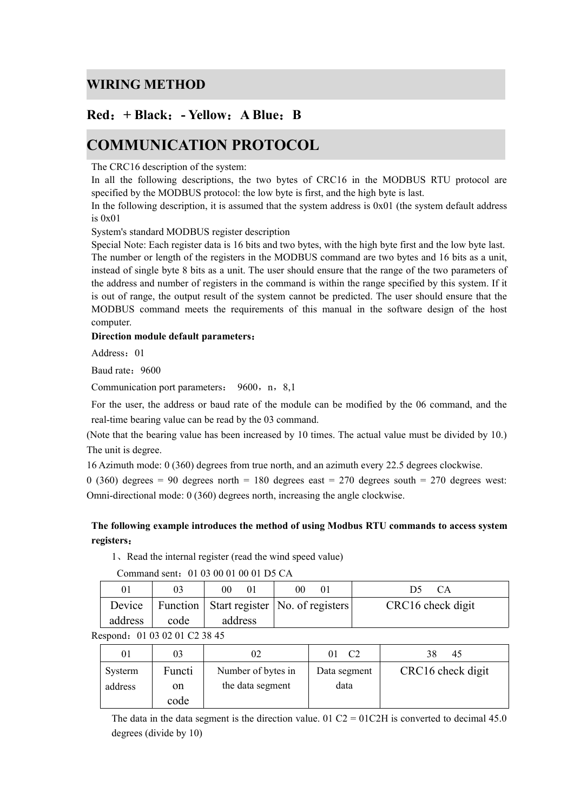#### **WIRING METHOD**

### **Red**:**+ Black**:**- Yellow**:**A Blue**:**B**

## **COMMUNICATION PROTOCOL**

The CRC16 description of the system:

In all the following descriptions, the two bytes of CRC16 in the MODBUS RTU protocol are specified by the MODBUS protocol: the low byte is first, and the high byte is last.

In the following description, it is assumed that the system address is 0x01 (the system default address is 0x01

System's standard MODBUS register description

Special Note: Each register data is 16 bits and two bytes, with the high byte first and the low byte last. The number or length of the registers in the MODBUS command are two bytes and 16 bits as a unit, instead of single byte 8 bits as a unit. The user should ensure that the range of the two parameters of the address and number of registers in the command is within the range specified by this system. If it is out of range, the output result of the system cannot be predicted. The user should ensure that the MODBUS command meets the requirements of this manual in the software design of the host computer.

#### **Direction module default parameters**:

Address: 01

Baud rate: 9600

Communication port parameters: 9600, n, 8,1

For the user, the address or baud rate of the module can be modified by the 06 command, and the real-time bearing value can be read by the 03 command.

(Note that the bearing value has been increased by 10 times. The actual value must be divided by 10.) The unit is degree.

16 Azimuth mode: 0 (360) degrees from true north, and an azimuth every 22.5 degrees clockwise.

0 (360) degrees = 90 degrees north = 180 degrees east = 270 degrees south = 270 degrees west: Omni-directional mode:  $0$  (360) degrees north, increasing the angle clockwise.

#### **The following example introduces the method of using Modbus RTU commands to access system registers**:

1、Read the internal register (read the wind speed value)

| 01      |      | 0 <sub>0</sub><br>$\overline{0}$ | 00                                           |                   |
|---------|------|----------------------------------|----------------------------------------------|-------------------|
| Device  |      |                                  | Function   Start register   No. of registers | CRC16 check digit |
| address | code | address                          |                                              |                   |

Command sent:01 03 00 01 00 01 D5 CA

|  | Respond: 01 03 02 01 C2 38 45 |  |
|--|-------------------------------|--|
|--|-------------------------------|--|

| 01      | 03     | 02                 | C2           | 38<br>45          |
|---------|--------|--------------------|--------------|-------------------|
| Systerm | Functi | Number of bytes in | Data segment | CRC16 check digit |
| address | on     | the data segment   | data         |                   |
|         | code   |                    |              |                   |

The data in the data segment is the direction value. 01 C2 = 01C2H is converted to decimal 45.0 degrees (divide by 10)